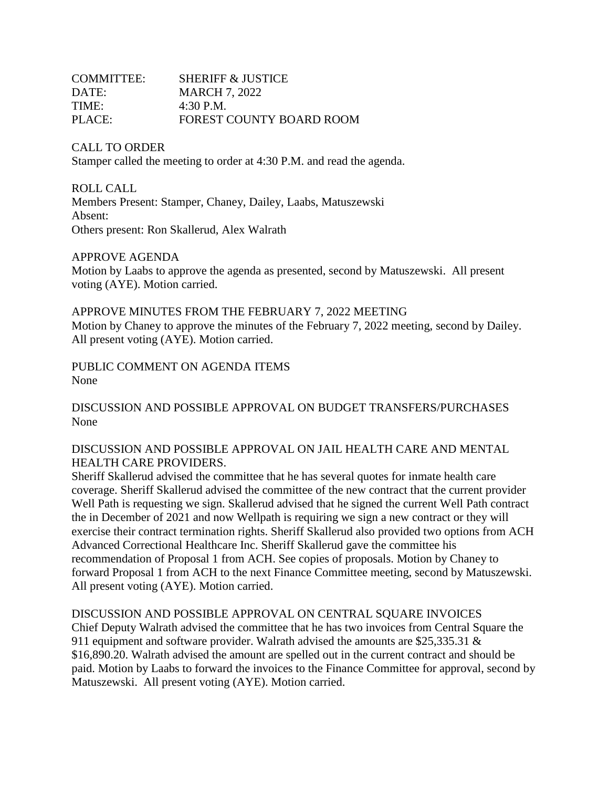| <b>COMMITTEE:</b> | <b>SHERIFF &amp; JUSTICE</b> |
|-------------------|------------------------------|
| DATE:             | <b>MARCH 7, 2022</b>         |
| TIME:             | $4:30$ P.M.                  |
| PLACE:            | FOREST COUNTY BOARD ROOM     |

CALL TO ORDER Stamper called the meeting to order at 4:30 P.M. and read the agenda.

ROLL CALL Members Present: Stamper, Chaney, Dailey, Laabs, Matuszewski Absent: Others present: Ron Skallerud, Alex Walrath

APPROVE AGENDA

Motion by Laabs to approve the agenda as presented, second by Matuszewski. All present voting (AYE). Motion carried.

APPROVE MINUTES FROM THE FEBRUARY 7, 2022 MEETING Motion by Chaney to approve the minutes of the February 7, 2022 meeting, second by Dailey. All present voting (AYE). Motion carried.

PUBLIC COMMENT ON AGENDA ITEMS None

DISCUSSION AND POSSIBLE APPROVAL ON BUDGET TRANSFERS/PURCHASES None

## DISCUSSION AND POSSIBLE APPROVAL ON JAIL HEALTH CARE AND MENTAL HEALTH CARE PROVIDERS.

Sheriff Skallerud advised the committee that he has several quotes for inmate health care coverage. Sheriff Skallerud advised the committee of the new contract that the current provider Well Path is requesting we sign. Skallerud advised that he signed the current Well Path contract the in December of 2021 and now Wellpath is requiring we sign a new contract or they will exercise their contract termination rights. Sheriff Skallerud also provided two options from ACH Advanced Correctional Healthcare Inc. Sheriff Skallerud gave the committee his recommendation of Proposal 1 from ACH. See copies of proposals. Motion by Chaney to forward Proposal 1 from ACH to the next Finance Committee meeting, second by Matuszewski. All present voting (AYE). Motion carried.

DISCUSSION AND POSSIBLE APPROVAL ON CENTRAL SQUARE INVOICES Chief Deputy Walrath advised the committee that he has two invoices from Central Square the 911 equipment and software provider. Walrath advised the amounts are \$25,335.31 & \$16,890.20. Walrath advised the amount are spelled out in the current contract and should be paid. Motion by Laabs to forward the invoices to the Finance Committee for approval, second by Matuszewski. All present voting (AYE). Motion carried.